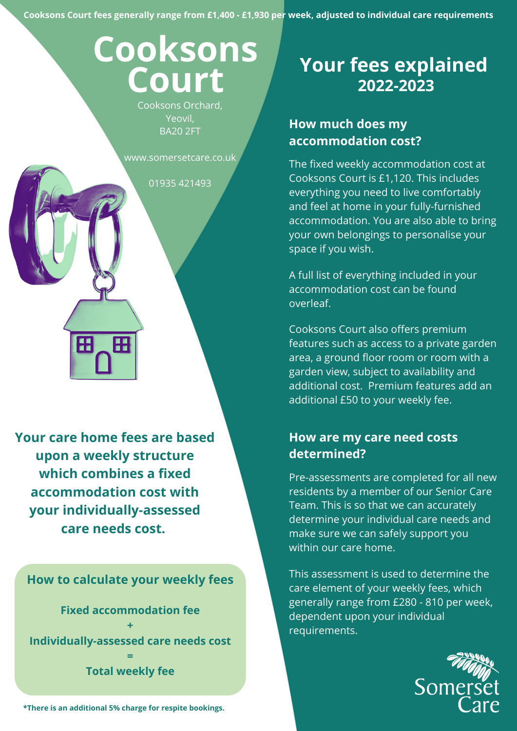**Cooksons Court fees generally range from £1,400 - £1,930 per week, adjusted to individual care requirements**

# **Cooksons Court**

Cooksons Orchard, Yeovil, BA20 2FT

www.somersetcare.co.uk

01935 421493

**Your care home fees are based upon a weekly structure which combines a fixed accommodation cost with your individually-assessed care needs cost.**

Æ

Η

**How to calculate your weekly fees**

**Fixed accommodation fee + Individually-assessed care needs cost = Total weekly fee**

**\*There is an additional 5% charge for respite bookings.**

# **Your fees explained 2022-2023**

## **How much does my accommodation cost?**

The fixed weekly accommodation cost at Cooksons Court is £1,120. This includes everything you need to live comfortably and feel at home in your fully-furnished accommodation. You are also able to bring your own belongings to personalise your space if you wish.

A full list of everything included in your accommodation cost can be found overleaf.

Cooksons Court also offers premium features such as access to a private garden area, a ground floor room or room with a garden view, subject to availability and additional cost. Premium features add an additional £50 to your weekly fee.

### **How are my care need costs determined?**

Pre-assessments are completed for all new residents by a member of our Senior Care Team. This is so that we can accurately determine your individual care needs and make sure we can safely support you within our care home.

This assessment is used to determine the care element of your weekly fees, which generally range from £280 - 810 per week, dependent upon your individual requirements.